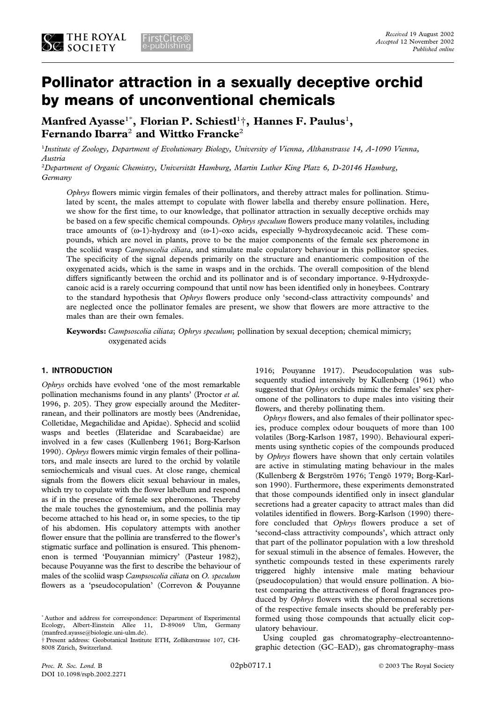# **Pollinator attraction in a sexually deceptive orchid by means of unconventional chemicals**

**Manfred Ayasse**<sup>1</sup>\* **, Florian P. Schiestl**<sup>1</sup> †**, Hannes F. Paulus**<sup>1</sup> **, Fernando Ibarra**<sup>2</sup> **and Wittko Francke**<sup>2</sup>

1 *Institute of Zoology, Department of Evolutionary Biology, University of Vienna, Althanstrasse 14, A-1090 Vienna, Austria*

<sup>2</sup>Department of Organic Chemistry, Universität Hamburg, Martin Luther King Platz 6, D-20146 Hamburg, *Germany*

*Ophrys* flowers mimic virgin females of their pollinators, and thereby attract males for pollination. Stimulated by scent, the males attempt to copulate with flower labella and thereby ensure pollination. Here, we show for the first time, to our knowledge, that pollinator attraction in sexually deceptive orchids may be based on a few specific chemical compounds. *Ophrys speculum* flowers produce many volatiles, including trace amounts of (ω-1)-hydroxy and (ω-1)-oxo acids, especially 9-hydroxydecanoic acid. These compounds, which are novel in plants, prove to be the major components of the female sex pheromone in the scoliid wasp *Campsoscolia ciliata*, and stimulate male copulatory behaviour in this pollinator species. The specificity of the signal depends primarily on the structure and enantiomeric composition of the oxygenated acids, which is the same in wasps and in the orchids. The overall composition of the blend differs significantly between the orchid and its pollinator and is of secondary importance. 9-Hydroxydecanoic acid is a rarely occurring compound that until now has been identified only in honeybees. Contrary to the standard hypothesis that *Ophrys* flowers produce only 'second-class attractivity compounds' and are neglected once the pollinator females are present, we show that flowers are more attractive to the males than are their own females.

**Keywords:** *Campsoscolia ciliata*; *Ophrys speculum*; pollination by sexual deception; chemical mimicry; oxygenated acids

# **1. INTRODUCTION**

*Ophrys* orchids have evolved 'one of the most remarkable pollination mechanisms found in any plants' (Proctor *et al.* 1996, p. 205). They grow especially around the Mediterranean, and their pollinators are mostly bees (Andrenidae, Colletidae, Megachilidae and Apidae). Sphecid and scoliid wasps and beetles (Elateridae and Scarabaeidae) are involved in a few cases (Kullenberg 1961; Borg-Karlson 1990). *Ophrys* flowers mimic virgin females of their pollinators, and male insects are lured to the orchid by volatile semiochemicals and visual cues. At close range, chemical signals from the flowers elicit sexual behaviour in males, which try to copulate with the flower labellum and respond as if in the presence of female sex pheromones. Thereby the male touches the gynostemium, and the pollinia may become attached to his head or, in some species, to the tip of his abdomen. His copulatory attempts with another flower ensure that the pollinia are transferred to the flower's stigmatic surface and pollination is ensured. This phenomenon is termed 'Pouyannian mimicry' (Pasteur 1982), because Pouyanne was the first to describe the behaviour of males of the scoliid wasp *Campsoscolia ciliata* on *O. speculum* flowers as a 'pseudocopulation' (Correvon & Pouyanne

\* Author and address for correspondence: Department of Experimental Ecology, Albert-Einstein Allee 11, D-89069 Ulm, Germany (manfred.ayasse@biologie.uni-ulm.de).

† Present address: Geobotanical Institute ETH, Zollikerstrasse 107, CH-8008 Zürich, Switzerland.

1916; Pouyanne 1917). Pseudocopulation was subsequently studied intensively by Kullenberg (1961) who suggested that *Ophrys* orchids mimic the females' sex pheromone of the pollinators to dupe males into visiting their flowers, and thereby pollinating them.

*Ophrys* flowers, and also females of their pollinator species, produce complex odour bouquets of more than 100 volatiles (Borg-Karlson 1987, 1990). Behavioural experiments using synthetic copies of the compounds produced by *Ophrys* flowers have shown that only certain volatiles are active in stimulating mating behaviour in the males (Kullenberg & Bergström 1976; Tengö 1979; Borg-Karlson 1990). Furthermore, these experiments demonstrated that those compounds identified only in insect glandular secretions had a greater capacity to attract males than did volatiles identified in flowers. Borg-Karlson (1990) therefore concluded that *Ophrys* flowers produce a set of 'second-class attractivity compounds', which attract only that part of the pollinator population with a low threshold for sexual stimuli in the absence of females. However, the synthetic compounds tested in these experiments rarely triggered highly intensive male mating behaviour (pseudocopulation) that would ensure pollination. A biotest comparing the attractiveness of floral fragrances produced by *Ophrys* flowers with the pheromonal secretions of the respective female insects should be preferably performed using those compounds that actually elicit copulatory behaviour.

Using coupled gas chromatography–electroantennographic detection (GC–EAD), gas chromatography–mass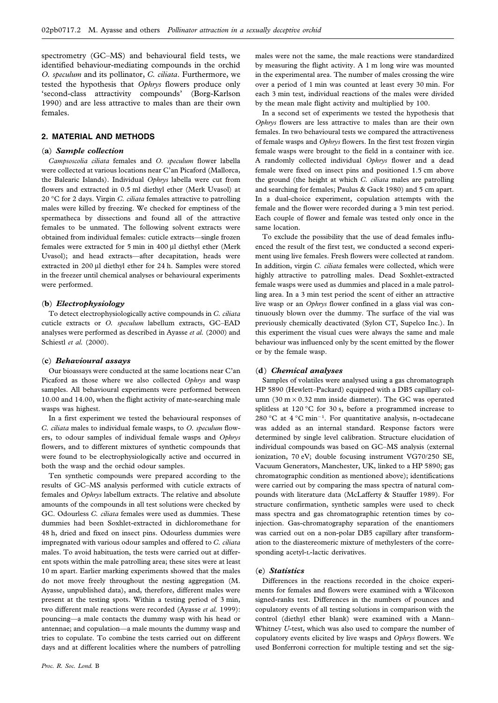spectrometry (GC–MS) and behavioural field tests, we identified behaviour-mediating compounds in the orchid *O. speculum* and its pollinator, *C. ciliata*. Furthermore, we tested the hypothesis that *Ophrys* flowers produce only 'second-class attractivity compounds' (Borg-Karlson 1990) and are less attractive to males than are their own females.

# **2. MATERIAL AND METHODS**

#### (**a**) *Sample collection*

*Campsoscolia ciliata* females and *O. speculum* flower labella were collected at various locations near C'an Picaford (Mallorca, the Balearic Islands). Individual *Ophrys* labella were cut from flowers and extracted in 0.5 ml diethyl ether (Merk Uvasol) at 20 °C for 2 days. Virgin *C. ciliata* females attractive to patrolling males were killed by freezing. We checked for emptiness of the spermatheca by dissections and found all of the attractive females to be unmated. The following solvent extracts were obtained from individual females: cuticle extracts—single frozen females were extracted for 5 min in 400 µl diethyl ether (Merk Uvasol); and head extracts—after decapitation, heads were extracted in 200 µl diethyl ether for 24 h. Samples were stored in the freezer until chemical analyses or behavioural experiments were performed.

## (**b**) *Electrophysiology*

To detect electrophysiologically active compounds in *C. ciliata* cuticle extracts or *O. speculum* labellum extracts, GC–EAD analyses were performed as described in Ayasse *et al.* (2000) and Schiestl *et al.* (2000).

## (**c**) *Behavioural assays*

Our bioassays were conducted at the same locations near C'an Picaford as those where we also collected *Ophrys* and wasp samples. All behavioural experiments were performed between 10.00 and 14.00, when the flight activity of mate-searching male wasps was highest.

In a first experiment we tested the behavioural responses of *C. ciliata* males to individual female wasps, to *O. speculum* flowers, to odour samples of individual female wasps and *Ophrys* flowers, and to different mixtures of synthetic compounds that were found to be electrophysiologically active and occurred in both the wasp and the orchid odour samples.

Ten synthetic compounds were prepared according to the results of GC–MS analysis performed with cuticle extracts of females and *Ophrys* labellum extracts. The relative and absolute amounts of the compounds in all test solutions were checked by GC. Odourless *C. ciliata* females were used as dummies. These dummies had been Soxhlet-extracted in dichloromethane for 48 h, dried and fixed on insect pins. Odourless dummies were impregnated with various odour samples and offered to *C. ciliata* males. To avoid habituation, the tests were carried out at different spots within the male patrolling area; these sites were at least 10 m apart. Earlier marking experiments showed that the males do not move freely throughout the nesting aggregation (M. Ayasse, unpublished data), and, therefore, different males were present at the testing spots. Within a testing period of 3 min, two different male reactions were recorded (Ayasse *et al.* 1999): pouncing—a male contacts the dummy wasp with his head or antennae; and copulation—a male mounts the dummy wasp and tries to copulate. To combine the tests carried out on different days and at different localities where the numbers of patrolling

males were not the same, the male reactions were standardized by measuring the flight activity. A 1 m long wire was mounted in the experimental area. The number of males crossing the wire over a period of 1 min was counted at least every 30 min. For each 3 min test, individual reactions of the males were divided by the mean male flight activity and multiplied by 100.

In a second set of experiments we tested the hypothesis that *Ophrys* flowers are less attractive to males than are their own females. In two behavioural tests we compared the attractiveness of female wasps and *Ophrys* flowers. In the first test frozen virgin female wasps were brought to the field in a container with ice. A randomly collected individual *Ophrys* flower and a dead female were fixed on insect pins and positioned 1.5 cm above the ground (the height at which *C. ciliata* males are patrolling and searching for females; Paulus & Gack 1980) and 5 cm apart. In a dual-choice experiment, copulation attempts with the female and the flower were recorded during a 3 min test period. Each couple of flower and female was tested only once in the same location.

To exclude the possibility that the use of dead females influenced the result of the first test, we conducted a second experiment using live females. Fresh flowers were collected at random. In addition, virgin *C. ciliata* females were collected, which were highly attractive to patrolling males. Dead Soxhlet-extracted female wasps were used as dummies and placed in a male patrolling area. In a 3 min test period the scent of either an attractive live wasp or an *Ophrys* flower confined in a glass vial was continuously blown over the dummy. The surface of the vial was previously chemically deactivated (Sylon CT, Supelco Inc.). In this experiment the visual cues were always the same and male behaviour was influenced only by the scent emitted by the flower or by the female wasp.

# (**d**) *Chemical analyses*

Samples of volatiles were analysed using a gas chromatograph HP 5890 (Hewlett–Packard) equipped with a DB5 capillary column  $(30 \text{ m} \times 0.32 \text{ mm}$  inside diameter). The GC was operated splitless at 120 °C for 30 s, before a programmed increase to 280 °C at  $4$  °C min<sup>-1</sup>. For quantitative analysis, n-octadecane was added as an internal standard. Response factors were determined by single level calibration. Structure elucidation of individual compounds was based on GC–MS analysis (external ionization, 70 eV; double focusing instrument VG70/250 SE, Vacuum Generators, Manchester, UK, linked to a HP 5890; gas chromatographic condition as mentioned above); identifications were carried out by comparing the mass spectra of natural compounds with literature data (McLafferty & Stauffer 1989). For structure confirmation, synthetic samples were used to check mass spectra and gas chromatographic retention times by coinjection. Gas-chromatography separation of the enantiomers was carried out on a non-polar DB5 capillary after transformation to the diastereomeric mixture of methylesters of the corresponding acetyl-L-lactic derivatives.

#### (**e**) *Statistics*

Differences in the reactions recorded in the choice experiments for females and flowers were examined with a Wilcoxon signed-ranks test. Differences in the numbers of pounces and copulatory events of all testing solutions in comparison with the control (diethyl ether blank) were examined with a Mann– Whitney *U*-test, which was also used to compare the number of copulatory events elicited by live wasps and *Ophrys* flowers. We used Bonferroni correction for multiple testing and set the sig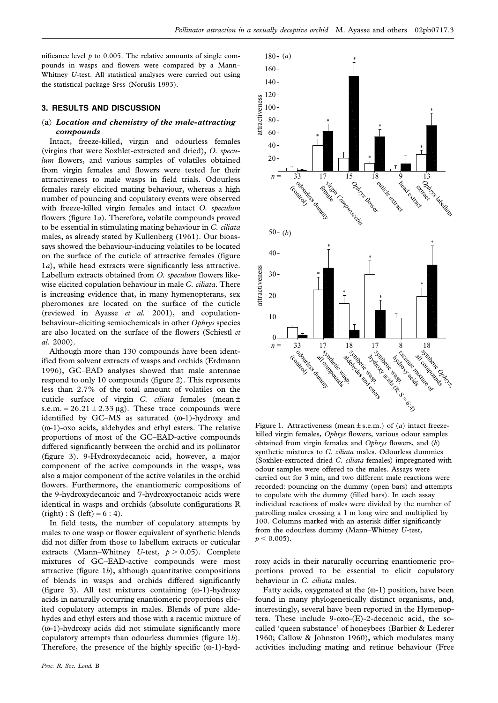nificance level  $p$  to 0.005. The relative amounts of single compounds in wasps and flowers were compared by a Mann– Whitney *U*-test. All statistical analyses were carried out using the statistical package Spss (Norušis 1993).

# **3. RESULTS AND DISCUSSION**

# (**a**) *Location and chemistry of the male-attracting compounds*

Intact, freeze-killed, virgin and odourless females (virgins that were Soxhlet-extracted and dried), *O. speculum* flowers, and various samples of volatiles obtained from virgin females and flowers were tested for their attractiveness to male wasps in field trials. Odourless females rarely elicited mating behaviour, whereas a high number of pouncing and copulatory events were observed with freeze-killed virgin females and intact *O. speculum* flowers (figure 1*a*). Therefore, volatile compounds proved to be essential in stimulating mating behaviour in *C. ciliata* males, as already stated by Kullenberg (1961). Our bioassays showed the behaviour-inducing volatiles to be located on the surface of the cuticle of attractive females (figure 1*a*), while head extracts were significantly less attractive. Labellum extracts obtained from *O. speculum* flowers likewise elicited copulation behaviour in male *C. ciliata*. There is increasing evidence that, in many hymenopterans, sex pheromones are located on the surface of the cuticle (reviewed in Ayasse *et al.* 2001), and copulationbehaviour-eliciting semiochemicals in other *Ophrys* species are also located on the surface of the flowers (Schiestl *et al.* 2000).

Although more than 130 compounds have been identified from solvent extracts of wasps and orchids (Erdmann 1996), GC–EAD analyses showed that male antennae respond to only 10 compounds (figure 2). This represents less than 2.7% of the total amount of volatiles on the cuticle surface of virgin *C. ciliata* females (mean ± s.e.m. =  $26.21 \pm 2.33 \,\mu$ g). These trace compounds were identified by GC–MS as saturated (ω-1)-hydroxy and (ω-1)-oxo acids, aldehydes and ethyl esters. The relative proportions of most of the GC–EAD-active compounds differed significantly between the orchid and its pollinator (figure 3). 9-Hydroxydecanoic acid, however, a major component of the active compounds in the wasps, was also a major component of the active volatiles in the orchid flowers. Furthermore, the enantiomeric compositions of the 9-hydroxydecanoic and 7-hydroxyoctanoic acids were identical in wasps and orchids (absolute configurations R  $(right) : S (left) = 6 : 4.$ 

In field tests, the number of copulatory attempts by males to one wasp or flower equivalent of synthetic blends did not differ from those to labellum extracts or cuticular extracts (Mann–Whitney *U*-test,  $p > 0.05$ ). Complete mixtures of GC–EAD-active compounds were most attractive (figure 1*b*), although quantitative compositions of blends in wasps and orchids differed significantly (figure 3). All test mixtures containing (ω-1)-hydroxy acids in naturally occurring enantiomeric proportions elicited copulatory attempts in males. Blends of pure aldehydes and ethyl esters and those with a racemic mixture of (ω-1)-hydroxy acids did not stimulate significantly more copulatory attempts than odourless dummies (figure 1*b*). Therefore, the presence of the highly specific  $(\omega-1)$ -hyd-



Figure 1. Attractiveness (mean ± s.e.m.) of (*a*) intact freezekilled virgin females, *Ophrys* flowers, various odour samples obtained from virgin females and *Ophrys* flowers, and (*b*) synthetic mixtures to *C. ciliata* males. Odourless dummies (Soxhlet-extracted dried *C. ciliata* females) impregnated with odour samples were offered to the males. Assays were carried out for 3 min, and two different male reactions were recorded: pouncing on the dummy (open bars) and attempts to copulate with the dummy (filled bars). In each assay individual reactions of males were divided by the number of patrolling males crossing a 1 m long wire and multiplied by 100. Columns marked with an asterisk differ significantly from the odourless dummy (Mann–Whitney *U*-test,  $p < 0.005$ ).

roxy acids in their naturally occurring enantiomeric proportions proved to be essential to elicit copulatory behaviour in *C. ciliata* males.

Fatty acids, oxygenated at the  $(\omega-1)$  position, have been found in many phylogenetically distinct organisms, and, interestingly, several have been reported in the Hymenoptera. These include 9-oxo-(E)-2-decenoic acid, the socalled 'queen substance' of honeybees (Barbier & Lederer 1960; Callow & Johnston 1960), which modulates many activities including mating and retinue behaviour (Free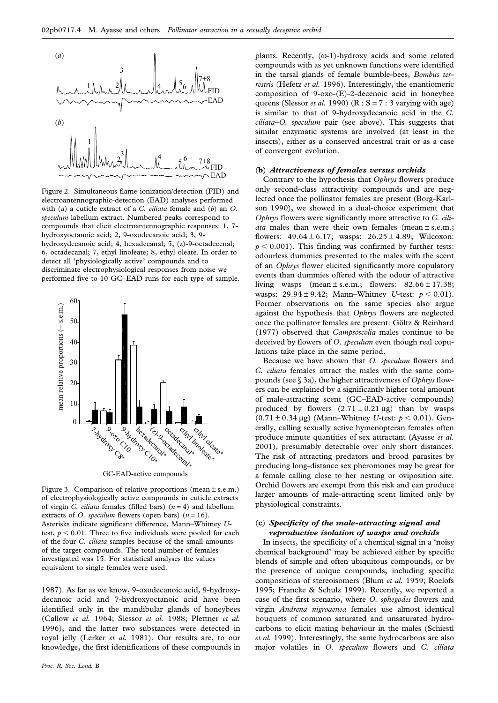

Figure 2. Simultaneous flame ionization/detection (FID) and electroantennographic-detection (EAD) analyses performed with (*a*) a cuticle extract of a *C. ciliata* female and (*b*) an *O. speculum* labellum extract. Numbered peaks correspond to compounds that elicit electroantennographic responses: 1, 7 hydroxyoctanoic acid; 2, 9-oxodecanoic acid; 3, 9 hydroxydecanoic acid; 4, hexadecanal; 5, (z)-9-octadecenal; 6, octadecanal; 7, ethyl linoleate; 8, ethyl oleate. In order to detect all 'physiologically active' compounds and to discriminate electrophysiological responses from noise we performed five to 10 GC–EAD runs for each type of sample.



GC-EAD-active compounds

Figure 3. Comparison of relative proportions (mean ± s.e.m.) of electrophysiologically active compounds in cuticle extracts of virgin *C. ciliata* females (filled bars) (*n* = 4) and labellum extracts of *O. speculum* flowers (open bars)  $(n = 16)$ . Asterisks indicate significant difference, Mann–Whitney *U*test,  $p < 0.01$ . Three to five individuals were pooled for each of the four *C. ciliata* samples because of the small amounts of the target compounds. The total number of females investigated was 15. For statistical analyses the values equivalent to single females were used.

1987). As far as we know, 9-oxodecanoic acid, 9-hydroxydecanoic acid and 7-hydroxyoctanoic acid have been identified only in the mandibular glands of honeybees (Callow *et al.* 1964; Slessor *et al.* 1988; Plettner *et al.* 1996), and the latter two substances were detected in royal jelly (Lerker *et al.* 1981). Our results are, to our knowledge, the first identifications of these compounds in

plants. Recently, (ω-1)-hydroxy acids and some related compounds with as yet unknown functions were identified in the tarsal glands of female bumble-bees, *Bombus terrestris* (Hefetz *et al.* 1996). Interestingly, the enantiomeric composition of 9-oxo-(E)-2-decenoic acid in honeybee queens (Slessor *et al.* 1990) ( $R : S = 7 : 3$  varying with age) is similar to that of 9-hydroxydecanoic acid in the *C. ciliata–O. speculum* pair (see above). This suggests that similar enzymatic systems are involved (at least in the insects), either as a conserved ancestral trait or as a case of convergent evolution.

#### (**b**) *Attractiveness of females versus orchids*

Contrary to the hypothesis that *Ophrys* flowers produce only second-class attractivity compounds and are neglected once the pollinator females are present (Borg-Karlson 1990), we showed in a dual-choice experiment that *Ophrys* flowers were significantly more attractive to *C. ciliata* males than were their own females (mean ± s.e.m.; flowers:  $49.64 \pm 6.17$ ; wasps:  $26.25 \pm 4.89$ ; Wilcoxon:  $p < 0.001$ ). This finding was confirmed by further tests: odourless dummies presented to the males with the scent of an *Ophrys* flower elicited significantly more copulatory events than dummies offered with the odour of attractive living wasps (mean  $\pm$  s.e.m.; flowers:  $82.66 \pm 17.38$ ; wasps:  $29.94 \pm 9.42$ ; Mann–Whitney *U*-test:  $p < 0.01$ ). Former observations on the same species also argue against the hypothesis that *Ophrys* flowers are neglected once the pollinator females are present: Göltz & Reinhard (1977) observed that *Campsoscolia* males continue to be deceived by flowers of *O. speculum* even though real copulations take place in the same period.

Because we have shown that *O. speculum* flowers and *C. ciliata* females attract the males with the same compounds (see § 3a), the higher attractiveness of *Ophrys* flowers can be explained by a significantly higher total amount of male-attracting scent (GC–EAD-active compounds) produced by flowers  $(2.71 \pm 0.21 \,\mu g)$  than by wasps  $(0.71 \pm 0.34 \,\mu g)$  (Mann–Whitney *U*-test:  $p < 0.01$ ). Generally, calling sexually active hymenopteran females often produce minute quantities of sex attractant (Ayasse *et al.* 2001), presumably detectable over only short distances. The risk of attracting predators and brood parasites by producing long-distance sex pheromones may be great for a female calling close to her nesting or oviposition site. Orchid flowers are exempt from this risk and can produce larger amounts of male-attracting scent limited only by physiological constraints.

# (**c**) *Specificity of the male-attracting signal and reproductive isolation of wasps and orchids*

In insects, the specificity of a chemical signal in a 'noisy chemical background' may be achieved either by specific blends of simple and often ubiquitous compounds, or by the presence of unique compounds, including specific compositions of stereoisomers (Blum *et al.* 1959; Roelofs 1995; Francke & Schulz 1999). Recently, we reported a case of the first scenario, where *O. sphegodes* flowers and virgin *Andrena nigroaenea* females use almost identical bouquets of common saturated and unsaturated hydrocarbons to elicit mating behaviour in the males (Schiestl *et al.* 1999). Interestingly, the same hydrocarbons are also major volatiles in *O. speculum* flowers and *C. ciliata*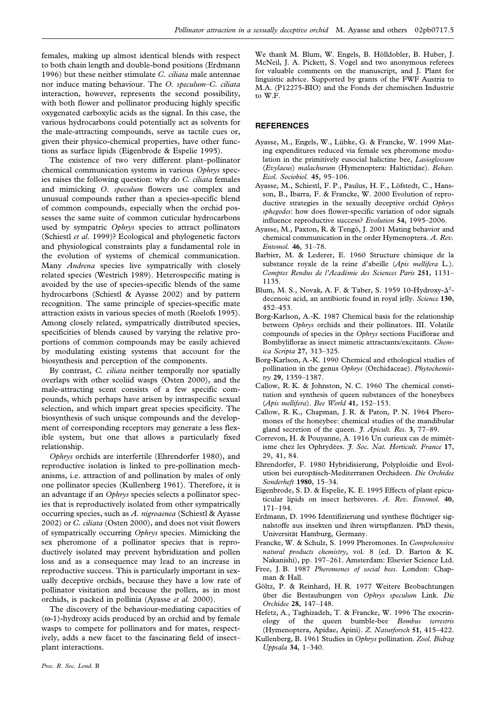females*,* making up almost identical blends with respect to both chain length and double-bond positions (Erdmann 1996) but these neither stimulate *C. ciliata* male antennae nor induce mating behaviour. The *O. speculum–C. ciliata* interaction, however, represents the second possibility, with both flower and pollinator producing highly specific oxygenated carboxylic acids as the signal. In this case, the various hydrocarbons could potentially act as solvents for the male-attracting compounds, serve as tactile cues or, given their physico-chemical properties, have other functions as surface lipids (Eigenbrode & Espelie 1995).

The existence of two very different plant–pollinator chemical communication systems in various *Ophrys* species raises the following question: why do *C. ciliata* females and mimicking *O*. *speculum* flowers use complex and unusual compounds rather than a species-specific blend of common compounds, especially when the orchid possesses the same suite of common cuticular hydrocarbons used by sympatric *Ophrys* species to attract pollinators (Schiestl *et al.* 1999)? Ecological and phylogenetic factors and physiological constraints play a fundamental role in the evolution of systems of chemical communication. Many *Andrena* species live sympatrically with closely related species (Westrich 1989). Heterospecific mating is avoided by the use of species-specific blends of the same hydrocarbons (Schiestl & Ayasse 2002) and by pattern recognition. The same principle of species-specific mate attraction exists in various species of moth (Roelofs 1995). Among closely related, sympatrically distributed species, specificities of blends caused by varying the relative proportions of common compounds may be easily achieved by modulating existing systems that account for the biosynthesis and perception of the components.

By contrast, *C. ciliata* neither temporally nor spatially overlaps with other scoliid wasps (Osten 2000), and the male-attracting scent consists of a few specific compounds, which perhaps have arisen by intraspecific sexual selection, and which impart great species specificity. The biosynthesis of such unique compounds and the development of corresponding receptors may generate a less flexible system, but one that allows a particularly fixed relationship.

*Ophrys* orchids are interfertile (Ehrendorfer 1980), and reproductive isolation is linked to pre-pollination mechanisms, i.e. attraction of and pollination by males of only one pollinator species (Kullenberg 1961). Therefore, it is an advantage if an *Ophrys* species selects a pollinator species that is reproductively isolated from other sympatrically occurring species, such as *A. nigroaenea* (Schiestl & Ayasse 2002) or *C. ciliata* (Osten 2000), and does not visit flowers of sympatrically occurring *Ophrys* species. Mimicking the sex pheromone of a pollinator species that is reproductively isolated may prevent hybridization and pollen loss and as a consequence may lead to an increase in reproductive success. This is particularly important in sexually deceptive orchids, because they have a low rate of pollinator visitation and because the pollen, as in most orchids, is packed in pollinia (Ayasse *et al.* 2000).

The discovery of the behaviour-mediating capacities of (ω-1)-hydroxy acids produced by an orchid and by female wasps to compete for pollinators and for mates, respectively, adds a new facet to the fascinating field of insect– plant interactions.

We thank M. Blum, W. Engels, B. Hölldobler, B. Huber, J. McNeil, J. A. Pickett, S. Vogel and two anonymous referees for valuable comments on the manuscript, and J. Plant for linguistic advice. Supported by grants of the FWF Austria to M.A. (P12275-BIO) and the Fonds der chemischen Industrie to W.F.

# **REFERENCES**

- Ayasse, M., Engels, W., Lübke, G. & Francke, W. 1999 Mating expenditures reduced via female sex pheromone modulation in the primitively eusocial halictine bee, *Lasioglossum* (*Evylaeus*) *malachurum* (Hymenoptera: Haltictidae). *Behav. Ecol. Sociobiol.* **45**, 95–106.
- Ayasse, M., Schiestl, F. P., Paulus, H. F., Löfstedt, C., Hansson, B., Ibarra, F. & Francke, W. 2000 Evolution of reproductive strategies in the sexually deceptive orchid *Ophrys sphegodes*: how does flower-specific variation of odor signals influence reproductive success? *Evolution* **54**, 1995–2006.
- Ayasse, M., Paxton, R. & Tengö, J. 2001 Mating behavior and chemical communication in the order Hymenoptera. *A. Rev. Entomol.* **46**, 31–78.
- Barbier, M. & Lederer, E. 1960 Structure chimique de la substance royale de la reine d'abeille (*Apis mellifera* L.). *Comptes Rendus de l'Acade´mie des Sciences Paris* **251**, 1131– 1135.
- Blum, M. S., Novak, A. F. & Taber, S. 1959 10-Hydroxy-Δ<sup>2</sup>decenoic acid, an antibiotic found in royal jelly. *Science* **130**, 452–453.
- Borg-Karlson, A.-K. 1987 Chemical basis for the relationship between *Ophrys* orchids and their pollinators. III. Volatile compounds of species in the *Ophrys* sections Fuciflorae and Bombyliflorae as insect mimetic attractants/excitants. *Chemica Scripta* **27**, 313–325.
- Borg-Karlson, A.-K. 1990 Chemical and ethological studies of pollination in the genus *Ophrys* (Orchidaceae). *Phytochemistry* **29**, 1359–1387.
- Callow, R. K. & Johnston, N. C. 1960 The chemical constitution and synthesis of queen substances of the honeybees (*Apis mellifera*). *Bee World* **41**, 152–153.
- Callow, R. K., Chapman, J. R. & Paton, P. N. 1964 Pheromones of the honeybee: chemical studies of the mandibular gland secretion of the queen. *J. Apicult. Res.* **3**, 77–89.
- Correvon, H. & Pouyanne, A. 1916 Un curieux cas de mimétisme chez les Ophrydées. *J. Soc. Nat. Horticult. France* 17, 29, 41, 84.
- Ehrendorfer, F. 1980 Hybridisierung, Polyploidie und Evolution bei europa¨isch-Mediterranen Orchideen. *Die Orchidee Sonderheft* **1980**, 15–34.
- Eigenbrode, S. D. & Espelie, K. E. 1995 Effects of plant epicuticular lipids on insect herbivores. *A. Rev. Entomol.* **40**, 171–194.
- Erdmann, D. 1996 Identifizierung und synthese flüchtiger signalstoffe aus insekten und ihren wirtspflanzen. PhD thesis, Universität Hamburg, Germany.
- Francke, W. & Schulz, S. 1999 Pheromones. In *Comprehensive natural products chemistry*, vol. 8 (ed. D. Barton & K. Nakanishi), pp. 197–261. Amsterdam: Elsevier Science Ltd.
- Free, J. B. 1987 *Pheromones of social bees*. London: Chapman & Hall.
- Göltz, P. & Reinhard, H. R. 1977 Weitere Beobachtungen u¨ber die Bestaubungen von *Ophrys speculum* Link. *Die Orchidee* **28**, 147–148.
- Hefetz, A., Taghizadeh, T. & Francke, W. 1996 The exocrinology of the queen bumble-bee *Bombus terrestris* (Hymenoptera, Apidae, Apini). *Z. Naturforsch* **51**, 415–422.
- Kullenberg, B. 1961 Studies in *Ophrys* pollination. *Zool. Bidrag Uppsala* **34**, 1–340.